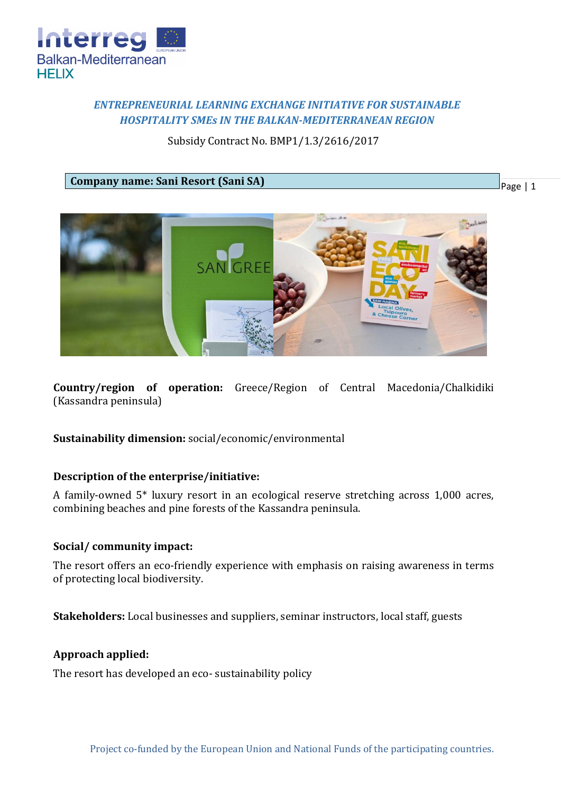

# *ENTREPRENEURIAL LEARNING EXCHANGE INITIATIVE FOR SUSTAINABLE HOSPITALITY SMEs IN THE BALKAN-MEDITERRANEAN REGION*

# Subsidy Contract No. BMP1/1.3/2616/2017

**Company name: Sani Resort (Sani SA)**

Page | 1



**Country/region of operation:** Greece/Region of Central Macedonia/Chalkidiki (Kassandra peninsula)

**Sustainability dimension:** social/economic/environmental

## **Description of the enterprise/initiative:**

A family-owned 5\* luxury resort in an ecological reserve stretching across 1,000 acres, combining beaches and pine forests of the Kassandra peninsula.

## **Social/ community impact:**

The resort offers an eco-friendly experience with emphasis on raising awareness in terms of protecting local biodiversity.

**Stakeholders:** Local businesses and suppliers, seminar instructors, local staff, guests

### **Approach applied:**

The resort has developed an eco- sustainability policy